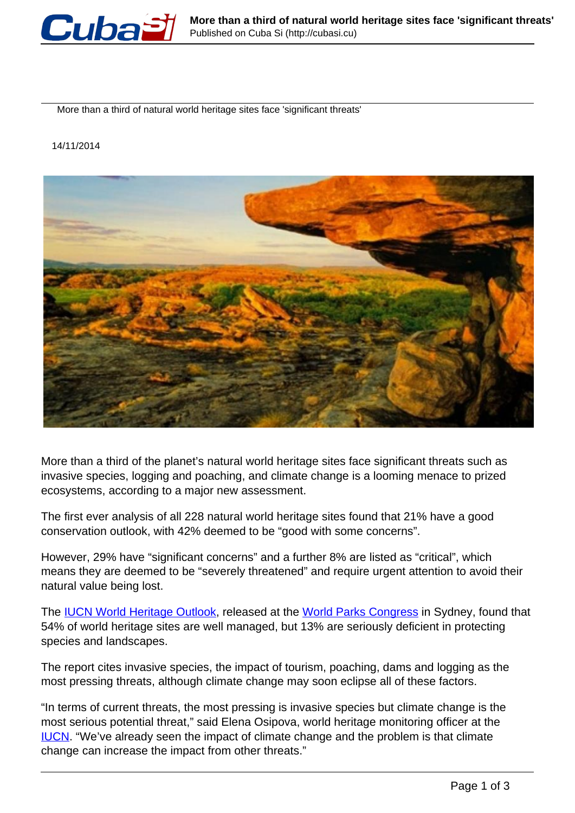

More than a third of natural world heritage sites face 'significant threats'

14/11/2014



More than a third of the planet's natural world heritage sites face significant threats such as invasive species, logging and poaching, and climate change is a looming menace to prized ecosystems, according to a major new assessment.

The first ever analysis of all 228 natural world heritage sites found that 21% have a good conservation outlook, with 42% deemed to be "good with some concerns".

However, 29% have "significant concerns" and a further 8% are listed as "critical", which means they are deemed to be "severely threatened" and require urgent attention to avoid their natural value being lost.

The **IUCN World Heritage Outlook**, released at the World Parks Congress in Sydney, found that 54% of world heritage sites are well managed, but 13% are seriously deficient in protecting species and landscapes.

The report cites invasive species, the impact of tourism, poaching, dams and logging as the most pressing threats, although climate change may soon eclipse all of these factors.

"In terms of current threats, the most pressing is invasive species but climate change is the most serious potential threat," said Elena Osipova, world heritage monitoring officer at the **IUCN**. "We've already seen the impact of climate change and the problem is that climate change can increase the impact from other threats."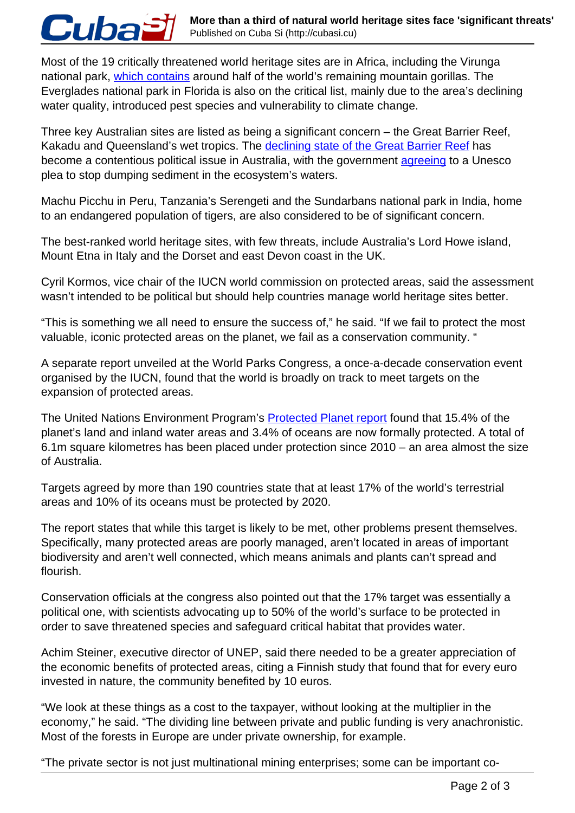Most of the 19 critically threatened world heritage sites are in Africa, including the Virunga national park, which contains around half of the world's remaining mountain gorillas. The Everglades national park in Florida is also on the critical list, mainly due to the area's declining water quality, introduced pest species and vulnerability to climate change.

Cuba

Three key Australian sites are listed as being a significant concern – the Great Barrier Reef, Kakadu and Queensland's wet tropics. The declining state of the Great Barrier Reef has become a contentious political issue in Australia, with the government agreeing to a Unesco plea to stop dumping sediment in the ecosystem's waters.

Machu Picchu in Peru, Tanzania's Serengeti and the Sundarbans national park in India, home to an endangered population of tigers, are also considered to be of significant concern.

The best-ranked world heritage sites, with few threats, include Australia's Lord Howe island, Mount Etna in Italy and the Dorset and east Devon coast in the UK.

Cyril Kormos, vice chair of the IUCN world commission on protected areas, said the assessment wasn't intended to be political but should help countries manage world heritage sites better.

"This is something we all need to ensure the success of," he said. "If we fail to protect the most valuable, iconic protected areas on the planet, we fail as a conservation community. "

A separate report unveiled at the World Parks Congress, a once-a-decade conservation event organised by the IUCN, found that the world is broadly on track to meet targets on the expansion of protected areas.

The United Nations Environment Program's Protected Planet report found that 15.4% of the planet's land and inland water areas and 3.4% of oceans are now formally protected. A total of 6.1m square kilometres has been placed under protection since 2010 – an area almost the size of Australia.

Targets agreed by more than 190 countries state that at least 17% of the world's terrestrial areas and 10% of its oceans must be protected by 2020.

The report states that while this target is likely to be met, other problems present themselves. Specifically, many protected areas are poorly managed, aren't located in areas of important biodiversity and aren't well connected, which means animals and plants can't spread and flourish.

Conservation officials at the congress also pointed out that the 17% target was essentially a political one, with scientists advocating up to 50% of the world's surface to be protected in order to save threatened species and safeguard critical habitat that provides water.

Achim Steiner, executive director of UNEP, said there needed to be a greater appreciation of the economic benefits of protected areas, citing a Finnish study that found that for every euro invested in nature, the community benefited by 10 euros.

"We look at these things as a cost to the taxpayer, without looking at the multiplier in the economy," he said. "The dividing line between private and public funding is very anachronistic. Most of the forests in Europe are under private ownership, for example.

"The private sector is not just multinational mining enterprises; some can be important co-